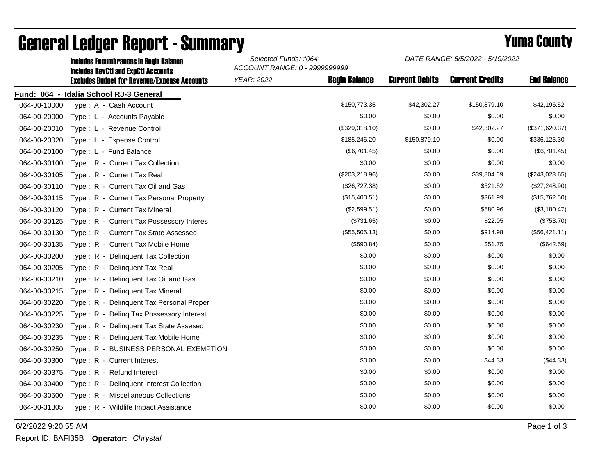|              | <b>Includes Encumbrances in Begin Balance</b><br><b>Includes RevCtI and ExpCtI Accounts</b> | Selected Funds: :'064'<br>ACCOUNT RANGE: 0 - 9999999999 |                      | DATE RANGE: 5/5/2022 - 5/19/2022 |                        |                    |
|--------------|---------------------------------------------------------------------------------------------|---------------------------------------------------------|----------------------|----------------------------------|------------------------|--------------------|
|              | <b>Excludes Budget for Revenue/Expense Accounts</b>                                         | <b>YEAR: 2022</b>                                       | <b>Begin Balance</b> | <b>Current Debits</b>            | <b>Current Credits</b> | <b>End Balance</b> |
|              | Fund: 064 - Idalia School RJ-3 General                                                      |                                                         |                      |                                  |                        |                    |
| 064-00-10000 | Type: A - Cash Account                                                                      |                                                         | \$150,773.35         | \$42,302.27                      | \$150,879.10           | \$42,196.52        |
| 064-00-20000 | Type: L - Accounts Payable                                                                  |                                                         | \$0.00               | \$0.00                           | \$0.00                 | \$0.00             |
| 064-00-20010 | Type: L - Revenue Control                                                                   |                                                         | (\$329,318.10)       | \$0.00                           | \$42,302.27            | (\$371,620.37)     |
| 064-00-20020 | Type: L - Expense Control                                                                   |                                                         | \$185,246.20         | \$150,879.10                     | \$0.00                 | \$336,125.30       |
| 064-00-20100 | Type: L - Fund Balance                                                                      |                                                         | (\$6,701.45)         | \$0.00                           | \$0.00                 | (\$6,701.45)       |
| 064-00-30100 | Type: R - Current Tax Collection                                                            |                                                         | \$0.00               | \$0.00                           | \$0.00                 | \$0.00             |
| 064-00-30105 | Type: R - Current Tax Real                                                                  |                                                         | $(\$203,218.96)$     | \$0.00                           | \$39,804.69            | $(\$243,023.65)$   |
| 064-00-30110 | Type: R - Current Tax Oil and Gas                                                           |                                                         | (\$26,727.38)        | \$0.00                           | \$521.52               | (\$27,248.90)      |
| 064-00-30115 | Type: R - Current Tax Personal Property                                                     |                                                         | (\$15,400.51)        | \$0.00                           | \$361.99               | (\$15,762.50)      |
| 064-00-30120 | Type: R - Current Tax Mineral                                                               |                                                         | (\$2,599.51)         | \$0.00                           | \$580.96               | (\$3,180.47)       |
| 064-00-30125 | Type: R - Current Tax Possessory Interes                                                    |                                                         | (\$731.65)           | \$0.00                           | \$22.05                | (\$753.70)         |
| 064-00-30130 | Type: R - Current Tax State Assessed                                                        |                                                         | (\$55,506.13)        | \$0.00                           | \$914.98               | (\$56,421.11)      |
| 064-00-30135 | Type: R - Current Tax Mobile Home                                                           |                                                         | (\$590.84)           | \$0.00                           | \$51.75                | (\$642.59)         |
| 064-00-30200 | Type: R - Delinquent Tax Collection                                                         |                                                         | \$0.00               | \$0.00                           | \$0.00                 | \$0.00             |
| 064-00-30205 | Type: R - Delinquent Tax Real                                                               |                                                         | \$0.00               | \$0.00                           | \$0.00                 | \$0.00             |
| 064-00-30210 | Type: R - Delinguent Tax Oil and Gas                                                        |                                                         | \$0.00               | \$0.00                           | \$0.00                 | \$0.00             |
| 064-00-30215 | Type: R - Delinquent Tax Mineral                                                            |                                                         | \$0.00               | \$0.00                           | \$0.00                 | \$0.00             |
| 064-00-30220 | Type: R - Delinquent Tax Personal Proper                                                    |                                                         | \$0.00               | \$0.00                           | \$0.00                 | \$0.00             |
| 064-00-30225 | Type: R - Deling Tax Possessory Interest                                                    |                                                         | \$0.00               | \$0.00                           | \$0.00                 | \$0.00             |
| 064-00-30230 | Type: R - Delinquent Tax State Assesed                                                      |                                                         | \$0.00               | \$0.00                           | \$0.00                 | \$0.00             |
| 064-00-30235 | Type: R - Delinguent Tax Mobile Home                                                        |                                                         | \$0.00               | \$0.00                           | \$0.00                 | \$0.00             |
| 064-00-30250 | Type: R - BUSINESS PERSONAL EXEMPTION                                                       |                                                         | \$0.00               | \$0.00                           | \$0.00                 | \$0.00             |
| 064-00-30300 | Type: R - Current Interest                                                                  |                                                         | \$0.00               | \$0.00                           | \$44.33                | (\$44.33)          |
| 064-00-30375 | Type: R - Refund Interest                                                                   |                                                         | \$0.00               | \$0.00                           | \$0.00                 | \$0.00             |
| 064-00-30400 | Type: R - Delinquent Interest Collection                                                    |                                                         | \$0.00               | \$0.00                           | \$0.00                 | \$0.00             |
| 064-00-30500 | Type: R - Miscellaneous Collections                                                         |                                                         | \$0.00               | \$0.00                           | \$0.00                 | \$0.00             |
| 064-00-31305 | Type: R - Wildlife Impact Assistance                                                        |                                                         | \$0.00               | \$0.00                           | \$0.00                 | \$0.00             |

## General Ledger Report - Summary **Example 2018** Yuma County

6/2/2022 9:20:55 AM Page 1 of 3

Report ID: BAFI35B **Operator:** *Chrystal*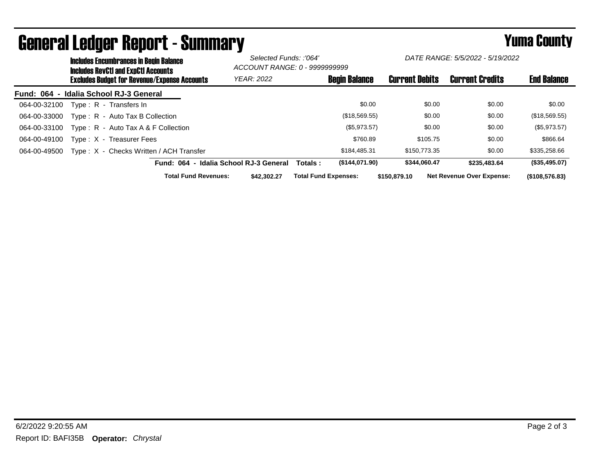|              | <b>Includes Encumbrances in Begin Balance</b><br><b>Includes RevCtI and ExpCtI Accounts</b> |                                         |                                        | Selected Funds: :'064'<br>ACCOUNT RANGE: 0 - 9999999999 |                             | DATE RANGE: 5/5/2022 - 5/19/2022 |                       |              |                                  |                    |
|--------------|---------------------------------------------------------------------------------------------|-----------------------------------------|----------------------------------------|---------------------------------------------------------|-----------------------------|----------------------------------|-----------------------|--------------|----------------------------------|--------------------|
|              | <b>Excludes Budget for Revenue/Expense Accounts</b>                                         |                                         |                                        | <b>YEAR: 2022</b>                                       |                             | <b>Begin Balance</b>             | <b>Current Debits</b> |              | <b>Current Credits</b>           | <b>End Balance</b> |
|              |                                                                                             | Fund: 064 - Idalia School RJ-3 General  |                                        |                                                         |                             |                                  |                       |              |                                  |                    |
| 064-00-32100 |                                                                                             | Type: R - Transfers In                  |                                        |                                                         |                             | \$0.00                           |                       | \$0.00       | \$0.00                           | \$0.00             |
| 064-00-33000 |                                                                                             | Type: R - Auto Tax B Collection         |                                        |                                                         |                             | (\$18,569.55)                    |                       | \$0.00       | \$0.00                           | (\$18,569.55)      |
| 064-00-33100 |                                                                                             | Type: $R -$ Auto Tax A & F Collection   |                                        |                                                         |                             | (\$5,973.57)                     |                       | \$0.00       | \$0.00                           | (\$5,973.57)       |
| 064-00-49100 |                                                                                             | Type: X - Treasurer Fees                |                                        |                                                         |                             | \$760.89                         |                       | \$105.75     | \$0.00                           | \$866.64           |
| 064-00-49500 |                                                                                             | Type: X - Checks Written / ACH Transfer |                                        |                                                         |                             | \$184,485.31                     |                       | \$150,773,35 | \$0.00                           | \$335,258.66       |
|              |                                                                                             |                                         | Fund: 064 - Idalia School RJ-3 General |                                                         | Totals :                    | (\$144,071.90)                   |                       | \$344,060.47 | \$235,483.64                     | (\$35,495.07)      |
|              |                                                                                             |                                         | <b>Total Fund Revenues:</b>            | \$42,302,27                                             | <b>Total Fund Expenses:</b> |                                  | \$150,879.10          |              | <b>Net Revenue Over Expense:</b> | (\$108,576.83)     |

## General Ledger Report - Summary **Seneral Ledger Report - Summary**